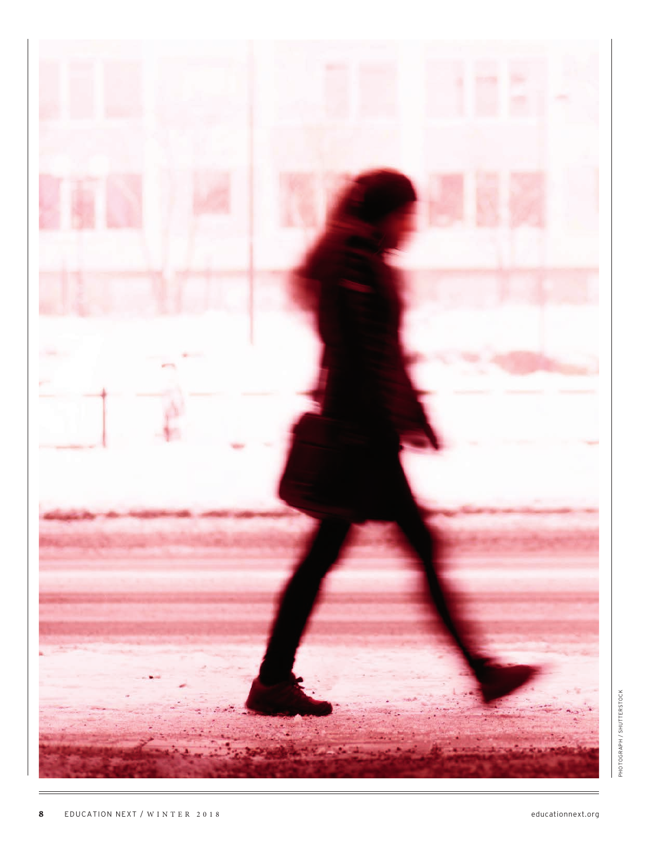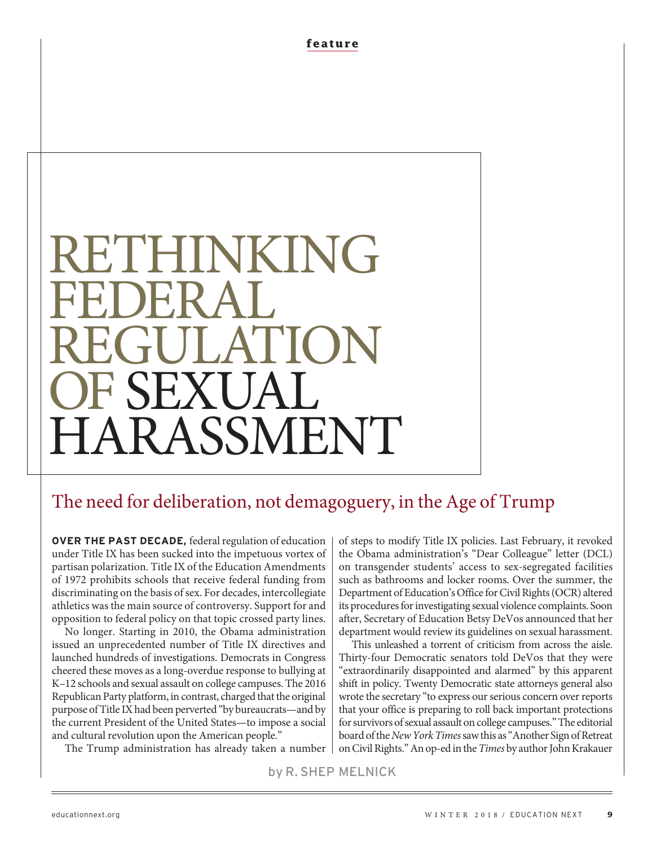**feature**

# RETHINKING FEDERAL. REGULATION OF SEXUAL **RASSMENT**

# The need for deliberation, not demagoguery, in the Age of Trump

**OVER THE PAST DECADE,** federal regulation of education under Title IX has been sucked into the impetuous vortex of partisan polarization. Title IX of the Education Amendments of 1972 prohibits schools that receive federal funding from discriminating on the basis of sex. For decades, intercollegiate athletics was the main source of controversy. Support for and opposition to federal policy on that topic crossed party lines.

No longer. Starting in 2010, the Obama administration issued an unprecedented number of Title IX directives and launched hundreds of investigations. Democrats in Congress cheered these moves as a long-overdue response to bullying at K–12 schools and sexual assault on college campuses. The 2016 Republican Party platform, in contrast, charged that the original purpose of Title IX had been perverted "by bureaucrats—and by the current President of the United States—to impose a social and cultural revolution upon the American people."

The Trump administration has already taken a number

of steps to modify Title IX policies. Last February, it revoked the Obama administration's "Dear Colleague" letter (DCL) on transgender students' access to sex-segregated facilities such as bathrooms and locker rooms. Over the summer, the Department of Education's Office for Civil Rights (OCR) altered its procedures for investigating sexual violence complaints. Soon after, Secretary of Education Betsy DeVos announced that her department would review its guidelines on sexual harassment.

This unleashed a torrent of criticism from across the aisle. Thirty-four Democratic senators told DeVos that they were "extraordinarily disappointed and alarmed" by this apparent shift in policy. Twenty Democratic state attorneys general also wrote the secretary "to express our serious concern over reports that your office is preparing to roll back important protections for survivors of sexual assault on college campuses." The editorial board of the New York Times saw this as "Another Sign of Retreat on Civil Rights." An op-ed in the Times by author John Krakauer

by R. SHEP MELNICK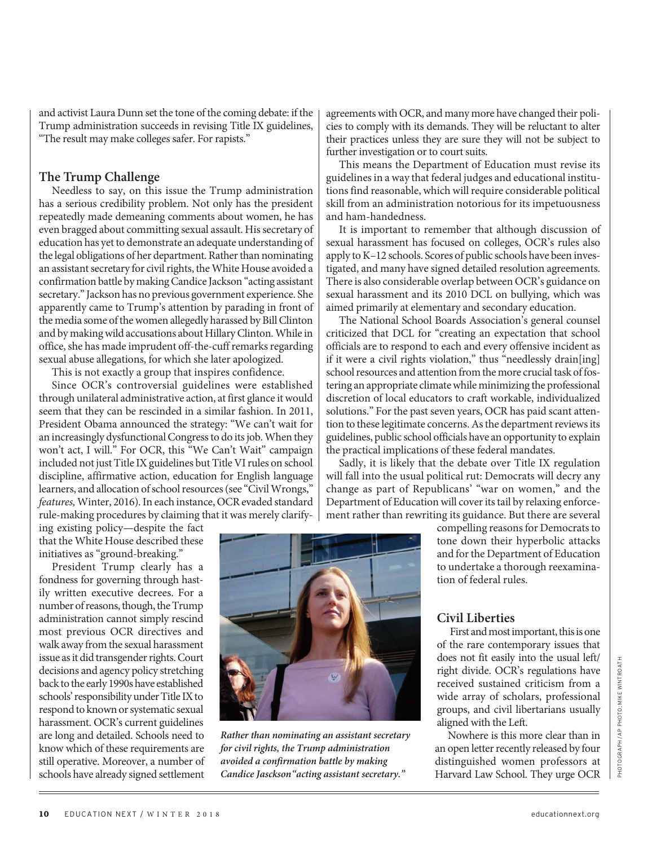and activist Laura Dunn set the tone of the coming debate: if the Trump administration succeeds in revising Title IX guidelines, "The result may make colleges safer. For rapists."

#### **The Trump Challenge**

Needless to say, on this issue the Trump administration has a serious credibility problem. Not only has the president repeatedly made demeaning comments about women, he has even bragged about committing sexual assault. His secretary of education has yet to demonstrate an adequate understanding of the legal obligations of her department. Rather than nominating an assistant secretary for civil rights, the White House avoided a confirmation battle by making Candice Jackson "acting assistant secretary." Jackson has no previous government experience. She apparently came to Trump's attention by parading in front of the media some of the women allegedly harassed by Bill Clinton and by making wild accusations about Hillary Clinton. While in office, she has made imprudent off-the-cuff remarks regarding sexual abuse allegations, for which she later apologized.

This is not exactly a group that inspires confidence.

Since OCR's controversial guidelines were established through unilateral administrative action, at first glance it would seem that they can be rescinded in a similar fashion. In 2011, President Obama announced the strategy: "We can't wait for an increasingly dysfunctional Congress to do its job. When they won't act, I will." For OCR, this "We Can't Wait" campaign included not just Title IX guidelines but Title VI rules on school discipline, affirmative action, education for English language learners, and allocation of school resources (see "Civil Wrongs," features, Winter, 2016). In each instance, OCR evaded standard rule-making procedures by claiming that it was merely clarify-

ing existing policy—despite the fact that the White House described these initiatives as "ground-breaking."

President Trump clearly has a fondness for governing through hastily written executive decrees. For a number of reasons, though, the Trump administration cannot simply rescind most previous OCR directives and walk away from the sexual harassment issue as it did transgender rights. Court decisions and agency policy stretching back to the early 1990s have established schools' responsibility under Title IX to respond to known or systematic sexual harassment. OCR's current guidelines are long and detailed. Schools need to know which of these requirements are still operative. Moreover, a number of schools have already signed settlement



**Rather than nominating an assistant secretary for civil rights, the Trump administration avoided a confirmation battle by making Candice Jasckson"acting assistant secretary."** 

agreements with OCR, and many more have changed their policies to comply with its demands. They will be reluctant to alter their practices unless they are sure they will not be subject to further investigation or to court suits.

This means the Department of Education must revise its guidelines in a way that federal judges and educational institutions find reasonable, which will require considerable political skill from an administration notorious for its impetuousness and ham-handedness.

It is important to remember that although discussion of sexual harassment has focused on colleges, OCR's rules also apply to K–12 schools. Scores of public schools have been investigated, and many have signed detailed resolution agreements. There is also considerable overlap between OCR's guidance on sexual harassment and its 2010 DCL on bullying, which was aimed primarily at elementary and secondary education.

The National School Boards Association's general counsel criticized that DCL for "creating an expectation that school officials are to respond to each and every offensive incident as if it were a civil rights violation," thus "needlessly drain[ing] school resources and attention from the more crucial task of fostering an appropriate climate while minimizing the professional discretion of local educators to craft workable, individualized solutions." For the past seven years, OCR has paid scant attention to these legitimate concerns. As the department reviews its guidelines, public school officials have an opportunity to explain the practical implications of these federal mandates.

Sadly, it is likely that the debate over Title IX regulation will fall into the usual political rut: Democrats will decry any change as part of Republicans' "war on women," and the Department of Education will cover its tail by relaxing enforcement rather than rewriting its guidance. But there are several

> compelling reasons for Democrats to tone down their hyperbolic attacks and for the Department of Education to undertake a thorough reexamination of federal rules.

#### **Civil Liberties**

First and most important, this is one of the rare contemporary issues that does not fit easily into the usual left/ right divide. OCR's regulations have received sustained criticism from a wide array of scholars, professional groups, and civil libertarians usually aligned with the Left.

Nowhere is this more clear than in an open letter recently released by four distinguished women professors at Harvard Law School. They urge OCR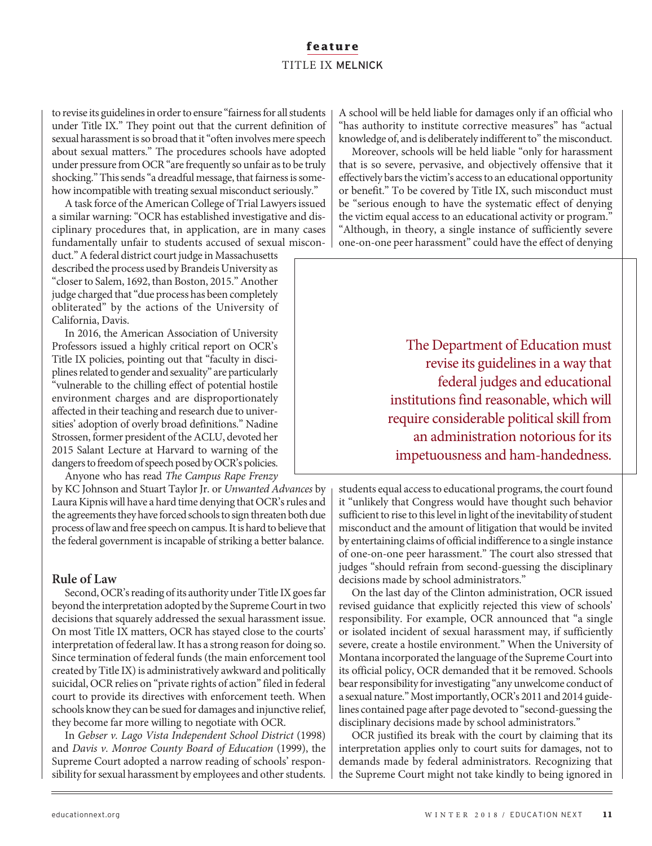## **feature** TITLE IX MELNICK

to revise its guidelines in order to ensure "fairness for all students under Title IX." They point out that the current definition of sexual harassment is so broad that it "often involves mere speech about sexual matters." The procedures schools have adopted under pressure from OCR "are frequently so unfair as to be truly shocking." This sends "a dreadful message, that fairness is somehow incompatible with treating sexual misconduct seriously."

A task force of the American College of Trial Lawyers issued a similar warning: "OCR has established investigative and disciplinary procedures that, in application, are in many cases fundamentally unfair to students accused of sexual miscon-

duct." A federal district court judge in Massachusetts described the process used by Brandeis University as "closer to Salem, 1692, than Boston, 2015." Another judge charged that "due process has been completely obliterated" by the actions of the University of California, Davis.

In 2016, the American Association of University Professors issued a highly critical report on OCR's Title IX policies, pointing out that "faculty in disciplines related to gender and sexuality" are particularly "vulnerable to the chilling effect of potential hostile environment charges and are disproportionately affected in their teaching and research due to universities' adoption of overly broad definitions." Nadine Strossen, former president of the ACLU, devoted her 2015 Salant Lecture at Harvard to warning of the dangers to freedom of speech posed by OCR's policies. Anyone who has read The Campus Rape Frenzy

by KC Johnson and Stuart Taylor Jr. or Unwanted Advances by Laura Kipnis will have a hard time denying that OCR's rules and the agreements they have forced schools to sign threaten both due process of law and free speech on campus. It is hard to believe that the federal government is incapable of striking a better balance.

#### **Rule of Law**

Second, OCR's reading of its authority under Title IX goes far beyond the interpretation adopted by the Supreme Court in two decisions that squarely addressed the sexual harassment issue. On most Title IX matters, OCR has stayed close to the courts' interpretation of federal law. It has a strong reason for doing so. Since termination of federal funds (the main enforcement tool created by Title IX) is administratively awkward and politically suicidal, OCR relies on "private rights of action" filed in federal court to provide its directives with enforcement teeth. When schools know they can be sued for damages and injunctive relief, they become far more willing to negotiate with OCR.

In Gebser v. Lago Vista Independent School District (1998) and Davis v. Monroe County Board of Education (1999), the Supreme Court adopted a narrow reading of schools' responsibility for sexual harassment by employees and other students.

A school will be held liable for damages only if an official who "has authority to institute corrective measures" has "actual knowledge of, and is deliberately indifferent to" the misconduct.

Moreover, schools will be held liable "only for harassment that is so severe, pervasive, and objectively offensive that it effectively bars the victim's access to an educational opportunity or benefit." To be covered by Title IX, such misconduct must be "serious enough to have the systematic effect of denying the victim equal access to an educational activity or program." "Although, in theory, a single instance of sufficiently severe one-on-one peer harassment" could have the effect of denying

> The Department of Education must revise its guidelines in a way that federal judges and educational institutions find reasonable, which will require considerable political skill from an administration notorious for its impetuousness and ham-handedness.

students equal access to educational programs, the court found it "unlikely that Congress would have thought such behavior sufficient to rise to this level in light of the inevitability of student misconduct and the amount of litigation that would be invited by entertaining claims of official indifference to a single instance of one-on-one peer harassment." The court also stressed that judges "should refrain from second-guessing the disciplinary decisions made by school administrators."

On the last day of the Clinton administration, OCR issued revised guidance that explicitly rejected this view of schools' responsibility. For example, OCR announced that "a single or isolated incident of sexual harassment may, if sufficiently severe, create a hostile environment." When the University of Montana incorporated the language of the Supreme Court into its official policy, OCR demanded that it be removed. Schools bear responsibility for investigating "any unwelcome conduct of a sexual nature." Most importantly, OCR's 2011 and 2014 guidelines contained page after page devoted to "second-guessing the disciplinary decisions made by school administrators."

OCR justified its break with the court by claiming that its interpretation applies only to court suits for damages, not to demands made by federal administrators. Recognizing that the Supreme Court might not take kindly to being ignored in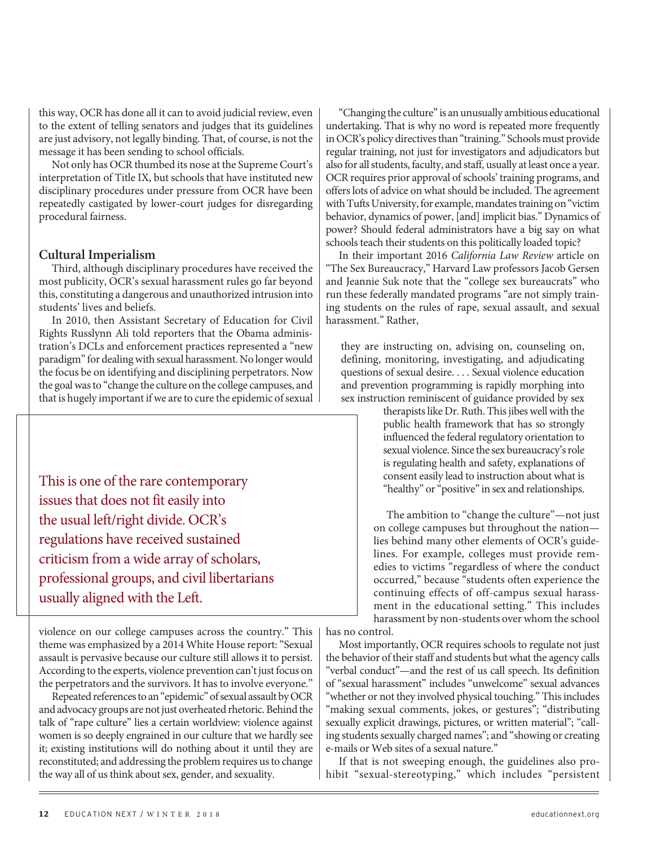this way, OCR has done all it can to avoid judicial review, even to the extent of telling senators and judges that its guidelines are just advisory, not legally binding. That, of course, is not the message it has been sending to school officials.

Not only has OCR thumbed its nose at the Supreme Court's interpretation of Title IX, but schools that have instituted new disciplinary procedures under pressure from OCR have been repeatedly castigated by lower-court judges for disregarding procedural fairness.

#### **Cultural Imperialism**

Third, although disciplinary procedures have received the most publicity, OCR's sexual harassment rules go far beyond this, constituting a dangerous and unauthorized intrusion into students' lives and beliefs.

In 2010, then Assistant Secretary of Education for Civil Rights Russlynn Ali told reporters that the Obama administration's DCLs and enforcement practices represented a "new paradigm" for dealing with sexual harassment. No longer would the focus be on identifying and disciplining perpetrators. Now the goal was to "change the culture on the college campuses, and that is hugely important if we are to cure the epidemic of sexual

This is one of the rare contemporary issues that does not fit easily into the usual left/right divide. OCR's regulations have received sustained criticism from a wide array of scholars, professional groups, and civil libertarians usually aligned with the Left.

violence on our college campuses across the country." This theme was emphasized by a 2014 White House report: "Sexual assault is pervasive because our culture still allows it to persist. According to the experts, violence prevention can't just focus on the perpetrators and the survivors. It has to involve everyone."

Repeated references to an "epidemic" of sexual assault by OCR and advocacy groups are not just overheated rhetoric. Behind the talk of "rape culture" lies a certain worldview: violence against women is so deeply engrained in our culture that we hardly see it; existing institutions will do nothing about it until they are reconstituted; and addressing the problem requires us to change the way all of us think about sex, gender, and sexuality.

"Changing the culture" is an unusually ambitious educational undertaking. That is why no word is repeated more frequently in OCR's policy directives than "training." Schools must provide regular training, not just for investigators and adjudicators but also for all students, faculty, and staff, usually at least once a year. OCR requires prior approval of schools' training programs, and offers lots of advice on what should be included. The agreement with Tufts University, for example, mandates training on "victim behavior, dynamics of power, [and] implicit bias." Dynamics of power? Should federal administrators have a big say on what schools teach their students on this politically loaded topic?

In their important 2016 California Law Review article on "The Sex Bureaucracy," Harvard Law professors Jacob Gersen and Jeannie Suk note that the "college sex bureaucrats" who run these federally mandated programs "are not simply training students on the rules of rape, sexual assault, and sexual harassment." Rather,

they are instructing on, advising on, counseling on, defining, monitoring, investigating, and adjudicating questions of sexual desire. . . . Sexual violence education and prevention programming is rapidly morphing into sex instruction reminiscent of guidance provided by sex

> therapists like Dr. Ruth. This jibes well with the public health framework that has so strongly influenced the federal regulatory orientation to sexual violence. Since the sex bureaucracy's role is regulating health and safety, explanations of consent easily lead to instruction about what is "healthy" or "positive" in sex and relationships.

The ambition to "change the culture"—not just on college campuses but throughout the nation lies behind many other elements of OCR's guidelines. For example, colleges must provide remedies to victims "regardless of where the conduct occurred," because "students often experience the continuing effects of off-campus sexual harassment in the educational setting." This includes harassment by non-students over whom the school

has no control.

Most importantly, OCR requires schools to regulate not just the behavior of their staff and students but what the agency calls "verbal conduct"—and the rest of us call speech. Its definition of "sexual harassment" includes "unwelcome" sexual advances "whether or not they involved physical touching." This includes "making sexual comments, jokes, or gestures"; "distributing sexually explicit drawings, pictures, or written material"; "calling students sexually charged names"; and "showing or creating e-mails or Web sites of a sexual nature."

If that is not sweeping enough, the guidelines also prohibit "sexual-stereotyping," which includes "persistent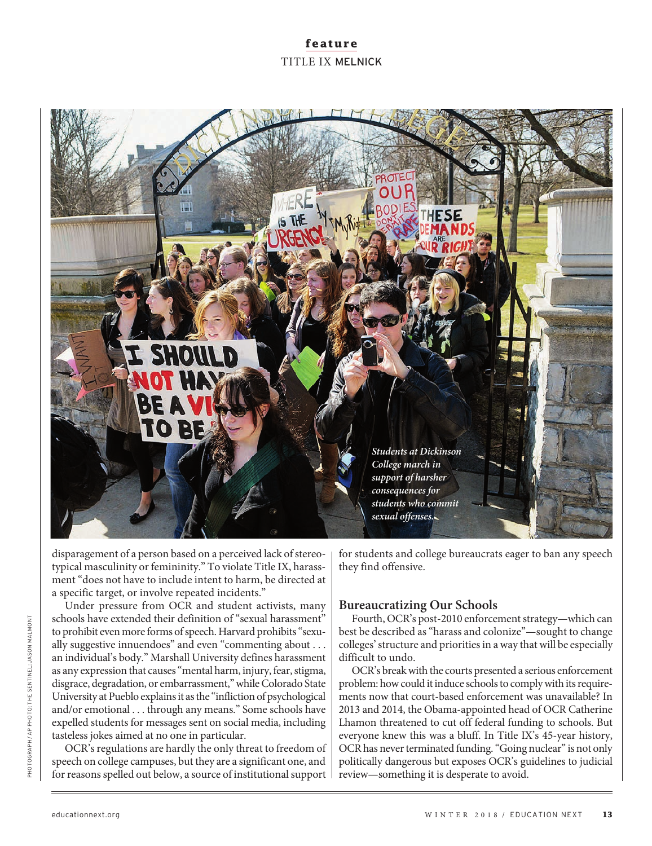# **feature** TITLE IX MELNICK



disparagement of a person based on a perceived lack of stereotypical masculinity or femininity." To violate Title IX, harassment "does not have to include intent to harm, be directed at a specific target, or involve repeated incidents."

Under pressure from OCR and student activists, many schools have extended their definition of "sexual harassment" to prohibit even more forms of speech. Harvard prohibits "sexually suggestive innuendoes" and even "commenting about . . . an individual's body." Marshall University defines harassment as any expression that causes "mental harm, injury, fear, stigma, disgrace, degradation, or embarrassment," while Colorado State University at Pueblo explains it as the "infliction of psychological and/or emotional . . . through any means." Some schools have expelled students for messages sent on social media, including tasteless jokes aimed at no one in particular.

OCR's regulations are hardly the only threat to freedom of speech on college campuses, but they are a significant one, and for reasons spelled out below, a source of institutional support for students and college bureaucrats eager to ban any speech they find offensive.

#### **Bureaucratizing Our Schools**

Fourth, OCR's post-2010 enforcement strategy—which can best be described as "harass and colonize"—sought to change colleges' structure and priorities in a way that will be especially difficult to undo.

OCR's break with the courts presented a serious enforcement problem: how could it induce schools to comply with its requirements now that court-based enforcement was unavailable? In 2013 and 2014, the Obama-appointed head of OCR Catherine Lhamon threatened to cut off federal funding to schools. But everyone knew this was a bluff. In Title IX's 45-year history, OCR has never terminated funding. "Going nuclear" is not only politically dangerous but exposes OCR's guidelines to judicial review—something it is desperate to avoid.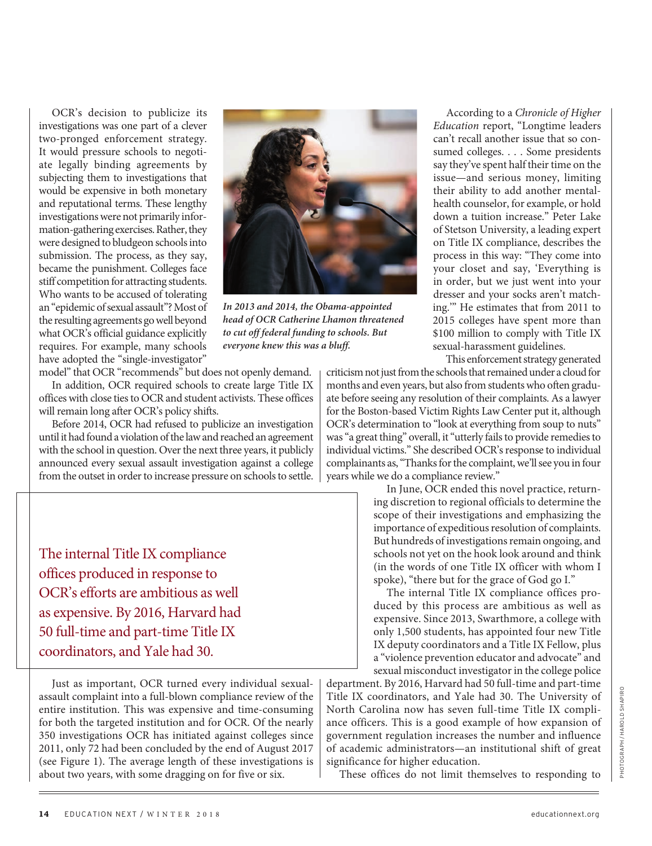OCR's decision to publicize its investigations was one part of a clever two-pronged enforcement strategy. It would pressure schools to negotiate legally binding agreements by subjecting them to investigations that would be expensive in both monetary and reputational terms. These lengthy investigations were not primarily information-gathering exercises. Rather, they were designed to bludgeon schools into submission. The process, as they say, became the punishment. Colleges face stiff competition for attracting students. Who wants to be accused of tolerating an "epidemic of sexual assault"? Most of the resulting agreements go well beyond what OCR's official guidance explicitly requires. For example, many schools have adopted the "single-investigator"



**In 2013 and 2014, the Obama-appointed head of OCR Catherine Lhamon threatened to cut off federal funding to schools. But everyone knew this was a bluff.**

model" that OCR "recommends" but does not openly demand. In addition, OCR required schools to create large Title IX offices with close ties to OCR and student activists. These offices will remain long after OCR's policy shifts.

Before 2014, OCR had refused to publicize an investigation until it had found a violation of the law and reached an agreement with the school in question. Over the next three years, it publicly announced every sexual assault investigation against a college from the outset in order to increase pressure on schools to settle.

The internal Title IX compliance offices produced in response to OCR's efforts are ambitious as well as expensive. By 2016, Harvard had 50 full-time and part-time Title IX coordinators, and Yale had 30.

Just as important, OCR turned every individual sexualassault complaint into a full-blown compliance review of the entire institution. This was expensive and time-consuming for both the targeted institution and for OCR. Of the nearly 350 investigations OCR has initiated against colleges since 2011, only 72 had been concluded by the end of August 2017 (see Figure 1). The average length of these investigations is about two years, with some dragging on for five or six.

According to a Chronicle of Higher Education report, "Longtime leaders can't recall another issue that so consumed colleges. . . . Some presidents say they've spent half their time on the issue—and serious money, limiting their ability to add another mentalhealth counselor, for example, or hold down a tuition increase." Peter Lake of Stetson University, a leading expert on Title IX compliance, describes the process in this way: "They come into your closet and say, 'Everything is in order, but we just went into your dresser and your socks aren't matching.'" He estimates that from 2011 to 2015 colleges have spent more than \$100 million to comply with Title IX sexual-harassment guidelines.

This enforcement strategy generated

criticism not just from the schools that remained under a cloud for months and even years, but also from students who often graduate before seeing any resolution of their complaints. As a lawyer for the Boston-based Victim Rights Law Center put it, although OCR's determination to "look at everything from soup to nuts" was "a great thing" overall, it "utterly fails to provide remedies to individual victims." She described OCR's response to individual complainants as, "Thanks for the complaint, we'll see you in four years while we do a compliance review."

In June, OCR ended this novel practice, returning discretion to regional officials to determine the scope of their investigations and emphasizing the importance of expeditious resolution of complaints. But hundreds of investigations remain ongoing, and schools not yet on the hook look around and think (in the words of one Title IX officer with whom I spoke), "there but for the grace of God go I."

The internal Title IX compliance offices produced by this process are ambitious as well as expensive. Since 2013, Swarthmore, a college with only 1,500 students, has appointed four new Title IX deputy coordinators and a Title IX Fellow, plus a "violence prevention educator and advocate" and sexual misconduct investigator in the college police

department. By 2016, Harvard had 50 full-time and part-time Title IX coordinators, and Yale had 30. The University of North Carolina now has seven full-time Title IX compliance officers. This is a good example of how expansion of government regulation increases the number and influence of academic administrators—an institutional shift of great significance for higher education.

These offices do not limit themselves to responding to